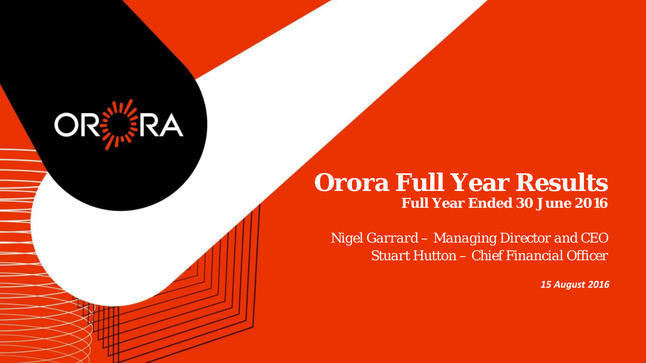## **Orora Full Year Results Full Year Ended 30 June 2016**

**ORER** 

*Nigel Garrard – Managing Director and CEO Stuart Hutton – Chief Financial Officer*

*15 August 2016*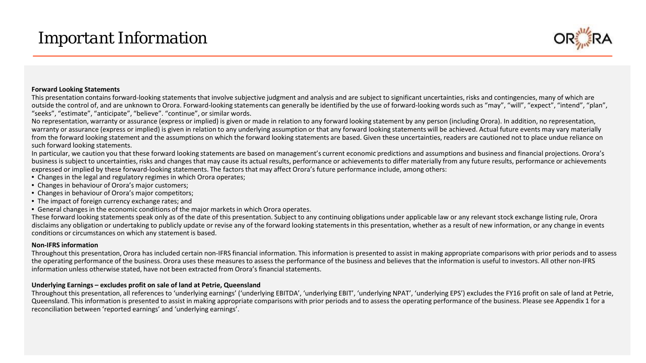## *Important Information*



#### **Forward Looking Statements**

This presentation contains forward-looking statements that involve subjective judgment and analysis and are subject to significant uncertainties, risks and contingencies, many of which are outside the control of, and are unknown to Orora. Forward-looking statements can generally be identified by the use of forward-looking words such as "may", "will", "expect", "intend", "plan", "seeks", "estimate", "anticipate", "believe". "continue", or similar words.

No representation, warranty or assurance (express or implied) is given or made in relation to any forward looking statement by any person (including Orora). In addition, no representation, warranty or assurance (express or implied) is given in relation to any underlying assumption or that any forward looking statements will be achieved. Actual future events may vary materially from the forward looking statement and the assumptions on which the forward looking statements are based. Given these uncertainties, readers are cautioned not to place undue reliance on such forward looking statements.

In particular, we caution you that these forward looking statements are based on management's current economic predictions and assumptions and business and financial projections. Orora's business is subject to uncertainties, risks and changes that may cause its actual results, performance or achievements to differ materially from any future results, performance or achievements expressed or implied by these forward-looking statements. The factors that may affect Orora's future performance include, among others:

- Changes in the legal and regulatory regimes in which Orora operates;
- Changes in behaviour of Orora's major customers;
- Changes in behaviour of Orora's major competitors;
- The impact of foreign currency exchange rates; and
- General changes in the economic conditions of the major markets in which Orora operates.

These forward looking statements speak only as of the date of this presentation. Subject to any continuing obligations under applicable law or any relevant stock exchange listing rule, Orora disclaims any obligation or undertaking to publicly update or revise any of the forward looking statements in this presentation, whether as a result of new information, or any change in events conditions or circumstances on which any statement is based.

#### **Non-IFRS information**

Throughout this presentation, Orora has included certain non-IFRS financial information. This information is presented to assist in making appropriate comparisons with prior periods and to assess the operating performance of the business. Orora uses these measures to assess the performance of the business and believes that the information is useful to investors. All other non-IFRS information unless otherwise stated, have not been extracted from Orora's financial statements.

#### **Underlying Earnings – excludes profit on sale of land at Petrie, Queensland**

Throughout this presentation, all references to 'underlying earnings' ('underlying EBITDA', 'underlying EBIT', 'underlying NPAT', 'underlying EPS') excludes the FY16 profit on sale of land at Petrie, Queensland. This information is presented to assist in making appropriate comparisons with prior periods and to assess the operating performance of the business. Please see Appendix 1 for a reconciliation between 'reported earnings' and 'underlying earnings'.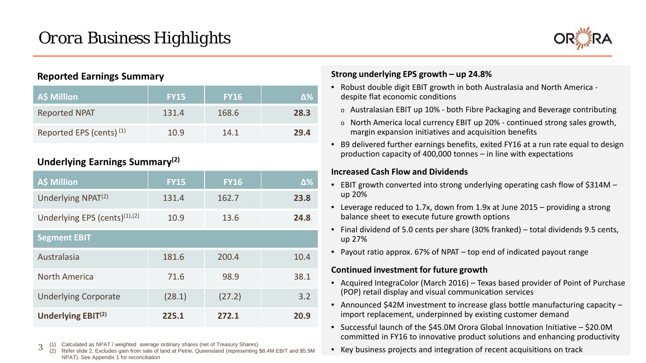

### **Reported Earnings Summary**

| A\$ Million                         | <b>FY15</b> | <b>FY16</b> | Δ‰   |
|-------------------------------------|-------------|-------------|------|
| <b>Reported NPAT</b>                | 131.4       | 168.6       | 28.3 |
| Reported EPS (cents) <sup>(1)</sup> | 10.9        | 14.1        | 29.4 |

### **Underlying Earnings Summary(2)**

| <b>A\$ Million</b>                   | <b>FY15</b> | <b>FY16</b> | $\Delta\%$ |
|--------------------------------------|-------------|-------------|------------|
| Underlying NPAT <sup>(2)</sup>       | 131.4       | 162.7       | 23.8       |
| Underlying EPS (cents) $(1)$ , $(2)$ | 10.9        | 13.6        | 24.8       |
| <b>Segment EBIT</b>                  |             |             |            |
| Australasia                          | 181.6       | 200.4       | 10.4       |
| <b>North America</b>                 | 71.6        | 98.9        | 38.1       |
| <b>Underlying Corporate</b>          | (28.1)      | (27.2)      | 3.2        |
| Underlying EBIT <sup>(2)</sup>       | 225.1       | 272.1       | 20.9       |

3 (1) Calculated as NPAT / weighted average ordinary shares (net of Treasury Shares)

Refer slide 2. Excludes gain from sale of land at Petrie, Queensland (representing \$8.4M EBIT and \$5.9M NPAT). See Appendix 1 for reconciliation 3

### **Strong underlying EPS growth – up 24.8%**

- Robust double digit EBIT growth in both Australasia and North America despite flat economic conditions
	- $\circ$  Australasian EBIT up 10% both Fibre Packaging and Beverage contributing
	- o North America local currency EBIT up 20% continued strong sales growth, margin expansion initiatives and acquisition benefits
- B9 delivered further earnings benefits, exited FY16 at a run rate equal to design production capacity of 400,000 tonnes – in line with expectations

### **Increased Cash Flow and Dividends**

- EBIT growth converted into strong underlying operating cash flow of \$314M up 20%
- Leverage reduced to 1.7x, down from 1.9x at June 2015 providing a strong balance sheet to execute future growth options
- Final dividend of 5.0 cents per share (30% franked) total dividends 9.5 cents, up 27%
- Payout ratio approx. 67% of NPAT top end of indicated payout range

### **Continued investment for future growth**

- Acquired IntegraColor (March 2016) Texas based provider of Point of Purchase (POP) retail display and visual communication services
- Announced \$42M investment to increase glass bottle manufacturing capacity import replacement, underpinned by existing customer demand
- Successful launch of the \$45.0M Orora Global Innovation Initiative \$20.0M committed in FY16 to innovative product solutions and enhancing productivity
- Key business projects and integration of recent acquisitions on track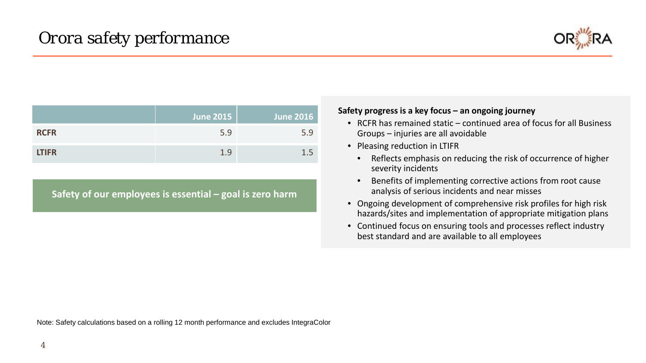

|              | June 2015 | <b>June 2016</b> |
|--------------|-----------|------------------|
| <b>RCFR</b>  | 5.9       | 5.9              |
| <b>LTIFR</b> | 1.9       | 1.5              |

**Safety of our employees is essential – goal is zero harm**

### **Safety progress is a key focus – an ongoing journey**

- RCFR has remained static continued area of focus for all Business Groups – injuries are all avoidable
- Pleasing reduction in LTIFR
	- Reflects emphasis on reducing the risk of occurrence of higher severity incidents
	- Benefits of implementing corrective actions from root cause analysis of serious incidents and near misses
- Ongoing development of comprehensive risk profiles for high risk hazards/sites and implementation of appropriate mitigation plans
- Continued focus on ensuring tools and processes reflect industry best standard and are available to all employees

Note: Safety calculations based on a rolling 12 month performance and excludes IntegraColor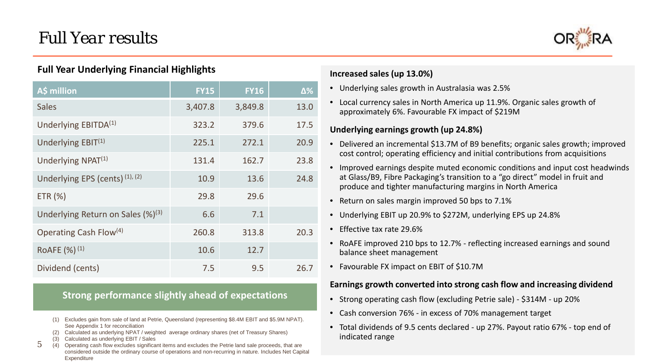

### **Full Year Underlying Financial Highlights**

| A\$ million                             | <b>FY15</b> | <b>FY16</b> | $\Delta\%$ |
|-----------------------------------------|-------------|-------------|------------|
| <b>Sales</b>                            | 3,407.8     | 3,849.8     | 13.0       |
| Underlying EBITDA <sup>(1)</sup>        | 323.2       | 379.6       | 17.5       |
| Underlying $EBIT(1)$                    | 225.1       | 272.1       | 20.9       |
| Underlying NPAT <sup>(1)</sup>          | 131.4       | 162.7       | 23.8       |
| Underlying EPS (cents) (1), (2)         | 10.9        | 13.6        | 24.8       |
| ETR (%)                                 | 29.8        | 29.6        |            |
| Underlying Return on Sales $(\%)^{(3)}$ | 6.6         | 7.1         |            |
| Operating Cash Flow <sup>(4)</sup>      | 260.8       | 313.8       | 20.3       |
| RoAFE (%) <sup>(1)</sup>                | 10.6        | 12.7        |            |
| Dividend (cents)                        | 7.5         | 9.5         | 26.7       |

### **Strong performance slightly ahead of expectations**

- (1) Excludes gain from sale of land at Petrie, Queensland (representing \$8.4M EBIT and \$5.9M NPAT). See Appendix 1 for reconciliation
- (2) Calculated as underlying NPAT / weighted average ordinary shares (net of Treasury Shares)
- (3) Calculated as underlying EBIT / Sales

5

5 (4) Operating cash flow excludes significant items and excludes the Petrie land sale proceeds, that are considered outside the ordinary course of operations and non-recurring in nature. Includes Net Capital **Expenditure** 

### **Increased sales (up 13.0%)**

- Underlying sales growth in Australasia was 2.5%
- Local currency sales in North America up 11.9%. Organic sales growth of approximately 6%. Favourable FX impact of \$219M

### **Underlying earnings growth (up 24.8%)**

- Delivered an incremental \$13.7M of B9 benefits; organic sales growth; improved cost control; operating efficiency and initial contributions from acquisitions
- Improved earnings despite muted economic conditions and input cost headwinds at Glass/B9, Fibre Packaging's transition to a "go direct" model in fruit and produce and tighter manufacturing margins in North America
- Return on sales margin improved 50 bps to 7.1%
- Underlying EBIT up 20.9% to \$272M, underlying EPS up 24.8%
- Effective tax rate 29.6%
- RoAFE improved 210 bps to 12.7% reflecting increased earnings and sound balance sheet management
- Favourable FX impact on EBIT of \$10.7M

### **Earnings growth converted into strong cash flow and increasing dividend**

- Strong operating cash flow (excluding Petrie sale) \$314M up 20%
- Cash conversion 76% in excess of 70% management target
- Total dividends of 9.5 cents declared up 27%. Payout ratio 67% top end of indicated range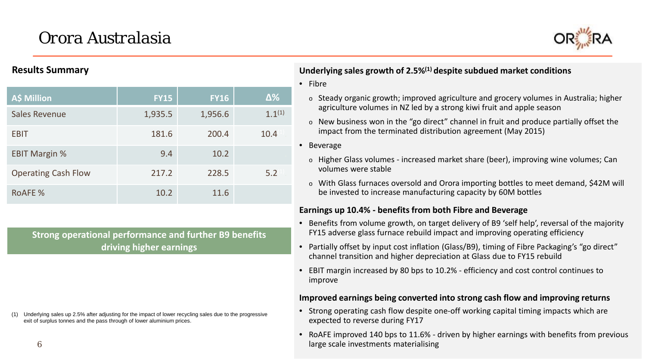# *Orora Australasia*



### **Results Summary**

| A\$ Million                | <b>FY15</b> | <b>FY16</b> | $\Delta\%$  |
|----------------------------|-------------|-------------|-------------|
| <b>Sales Revenue</b>       | 1,935.5     | 1,956.6     | $1.1^{(1)}$ |
| <b>EBIT</b>                | 181.6       | 200.4       | 10.4        |
| <b>EBIT Margin %</b>       | 9.4         | 10.2        |             |
| <b>Operating Cash Flow</b> | 217.2       | 228.5       | 5.2         |
| ROAFE %                    | 10.2        | 11.6        |             |

**Strong operational performance and further B9 benefits driving higher earnings**

Underlying sales up 2.5% after adjusting for the impact of lower recycling sales due to the progressive exit of surplus tonnes and the pass through of lower aluminium prices.

### **Underlying sales growth of 2.5%(1) despite subdued market conditions**

- Fibre
	- o Steady organic growth; improved agriculture and grocery volumes in Australia; higher agriculture volumes in NZ led by a strong kiwi fruit and apple season
	- o New business won in the "go direct" channel in fruit and produce partially offset the impact from the terminated distribution agreement (May 2015)
- Beverage
	- o Higher Glass volumes increased market share (beer), improving wine volumes; Can volumes were stable
	- o With Glass furnaces oversold and Orora importing bottles to meet demand, \$42M will be invested to increase manufacturing capacity by 60M bottles

### **Earnings up 10.4% - benefits from both Fibre and Beverage**

- Benefits from volume growth, on target delivery of B9 'self help', reversal of the majority FY15 adverse glass furnace rebuild impact and improving operating efficiency
- Partially offset by input cost inflation (Glass/B9), timing of Fibre Packaging's "go direct" channel transition and higher depreciation at Glass due to FY15 rebuild
- EBIT margin increased by 80 bps to 10.2% efficiency and cost control continues to improve

### **Improved earnings being converted into strong cash flow and improving returns**

- Strong operating cash flow despite one-off working capital timing impacts which are expected to reverse during FY17
- RoAFE improved 140 bps to 11.6% driven by higher earnings with benefits from previous large scale investments materialising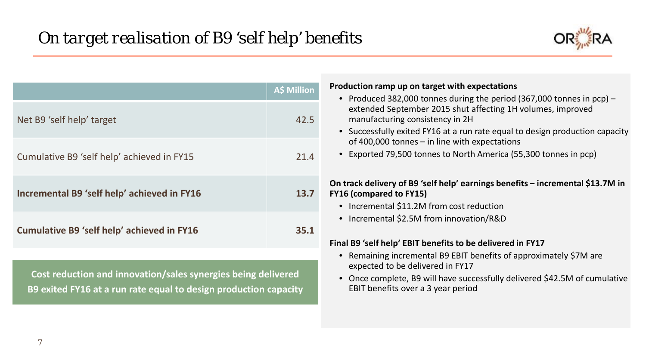

| Net B9 'self help' target<br>Cumulative B9 'self help' achieved in FY15                                                           | A\$ Million<br>42.5<br>21.4 | Production ramp up on target with expectations<br>• Produced 382,000 tonnes during the period (367,000 tonnes in $pcp$ ) –<br>extended September 2015 shut affecting 1H volumes, improved<br>manufacturing consistency in 2H<br>• Successfully exited FY16 at a run rate equal to design production capacity<br>of 400,000 tonnes $-$ in line with expectations<br>Exported 79,500 tonnes to North America (55,300 tonnes in pcp) |
|-----------------------------------------------------------------------------------------------------------------------------------|-----------------------------|-----------------------------------------------------------------------------------------------------------------------------------------------------------------------------------------------------------------------------------------------------------------------------------------------------------------------------------------------------------------------------------------------------------------------------------|
| Incremental B9 'self help' achieved in FY16                                                                                       | <b>13.7</b>                 | On track delivery of B9 'self help' earnings benefits – incremental \$13.7M in<br><b>FY16 (compared to FY15)</b><br>• Incremental \$11.2M from cost reduction                                                                                                                                                                                                                                                                     |
| <b>Cumulative B9 'self help' achieved in FY16</b>                                                                                 | 35.1                        | • Incremental \$2.5M from innovation/R&D<br>Final B9 'self help' EBIT benefits to be delivered in FY17                                                                                                                                                                                                                                                                                                                            |
| Cost reduction and innovation/sales synergies being delivered<br>B9 exited FY16 at a run rate equal to design production capacity |                             | Remaining incremental B9 EBIT benefits of approximately \$7M are<br>expected to be delivered in FY17<br>Once complete, B9 will have successfully delivered \$42.5M of cumulative<br>$\bullet$<br>EBIT benefits over a 3 year period                                                                                                                                                                                               |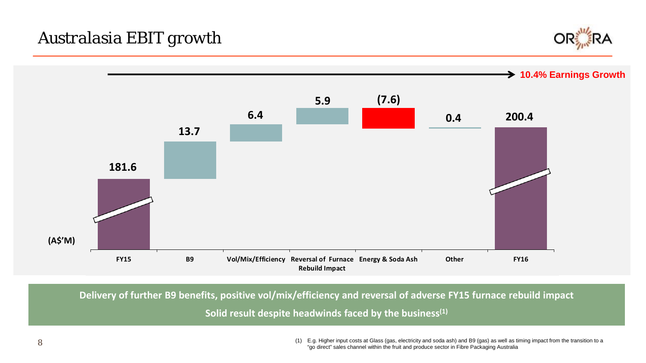



**Delivery of further B9 benefits, positive vol/mix/efficiency and reversal of adverse FY15 furnace rebuild impact** 

**Solid result despite headwinds faced by the business(1)**

(1) E.g. Higher input costs at Glass (gas, electricity and soda ash) and B9 (gas) as well as timing impact from the transition to a "go direct" sales channel within the fruit and produce sector in Fibre Packaging Australia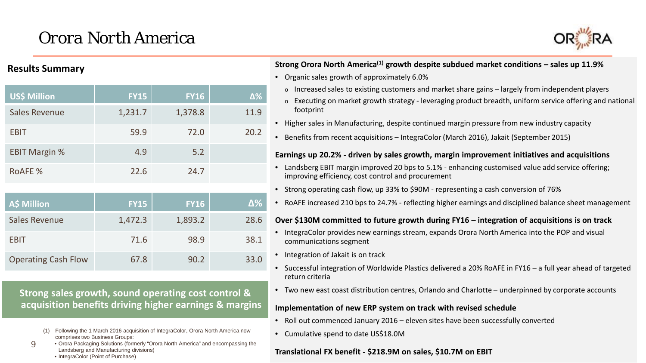# *Orora North America*



### **Results Summary**

| <b>US\$ Million</b>  | <b>FY15</b> | <b>FY16</b> | $\Delta\%$ |
|----------------------|-------------|-------------|------------|
| <b>Sales Revenue</b> | 1,231.7     | 1,378.8     | 11.9       |
| <b>EBIT</b>          | 59.9        | 72.0        | 20.2       |
| <b>EBIT Margin %</b> | 4.9         | 5.2         |            |
| <b>ROAFE %</b>       | 22.6        | 24.7        |            |
|                      |             |             |            |
| <b>A\$ Million</b>   | <b>FY15</b> | <b>FY16</b> | $\Delta\%$ |
| <b>Sales Revenue</b> | 1,472.3     | 1,893.2     | 28.6       |
| <b>EBIT</b>          | 71.6        | 98.9        | 38.1       |
|                      |             |             |            |

**Strong sales growth, sound operating cost control & acquisition benefits driving higher earnings & margins**

Operating Cash Flow 67.8 90.2 33.0

- (1) Following the 1 March 2016 acquisition of IntegraColor, Orora North America now comprises two Business Groups:
- If  $\bullet$  Orora Packaging Solutions (formerly Oron Landsberg and Manufacturing divisions) • Orora Packaging Solutions (formerly "Orora North America" and encompassing the  $\mathbf{Q}$ 
	- IntegraColor (Point of Purchase)

### **Strong Orora North America(1) growth despite subdued market conditions – sales up 11.9%**

- Organic sales growth of approximately 6.0%
	- $\circ$  Increased sales to existing customers and market share gains largely from independent players
	- $\circ$  Executing on market growth strategy leveraging product breadth, uniform service offering and national footprint
- Higher sales in Manufacturing, despite continued margin pressure from new industry capacity
- Benefits from recent acquisitions IntegraColor (March 2016), Jakait (September 2015)

#### **Earnings up 20.2% - driven by sales growth, margin improvement initiatives and acquisitions**

- Landsberg EBIT margin improved 20 bps to 5.1% enhancing customised value add service offering; improving efficiency, cost control and procurement
- Strong operating cash flow, up 33% to \$90M representing a cash conversion of 76%
- RoAFE increased 210 bps to 24.7% reflecting higher earnings and disciplined balance sheet management

#### **Over \$130M committed to future growth during FY16 – integration of acquisitions is on track**

- IntegraColor provides new earnings stream, expands Orora North America into the POP and visual communications segment
- Integration of Jakait is on track
- Successful integration of Worldwide Plastics delivered a 20% RoAFE in FY16 a full year ahead of targeted return criteria
- Two new east coast distribution centres, Orlando and Charlotte underpinned by corporate accounts

#### **Implementation of new ERP system on track with revised schedule**

- Roll out commenced January 2016 eleven sites have been successfully converted
- Cumulative spend to date US\$18.0M

#### **Translational FX benefit - \$218.9M on sales, \$10.7M on EBIT**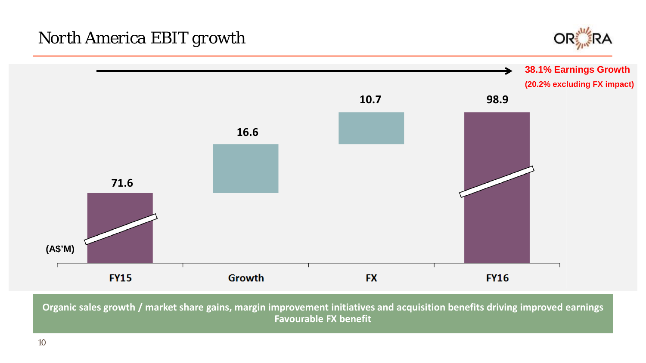## *North America EBIT growth*





**Organic sales growth / market share gains, margin improvement initiatives and acquisition benefits driving improved earnings Favourable FX benefit**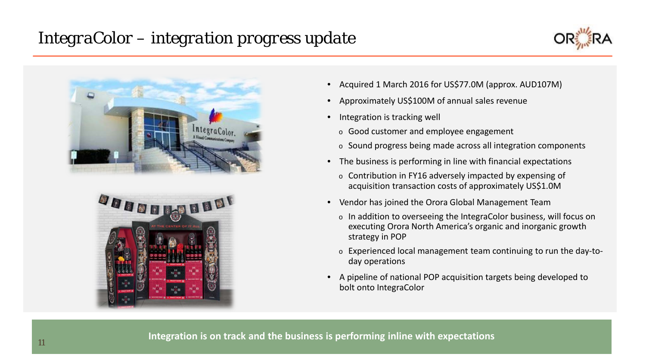## *IntegraColor – integration progress update*







- Acquired 1 March 2016 for US\$77.0M (approx. AUD107M)
- Approximately US\$100M of annual sales revenue
- Integration is tracking well
	- <sup>o</sup> Good customer and employee engagement
	- <sup>o</sup> Sound progress being made across all integration components
- The business is performing in line with financial expectations
	- <sup>o</sup> Contribution in FY16 adversely impacted by expensing of acquisition transaction costs of approximately US\$1.0M
- Vendor has joined the Orora Global Management Team
	- <sup>o</sup> In addition to overseeing the IntegraColor business, will focus on executing Orora North America's organic and inorganic growth strategy in POP
	- <sup>o</sup> Experienced local management team continuing to run the day-today operations
- A pipeline of national POP acquisition targets being developed to bolt onto IntegraColor

**Integration is on track and the business is performing inline with expectations** <sup>11</sup>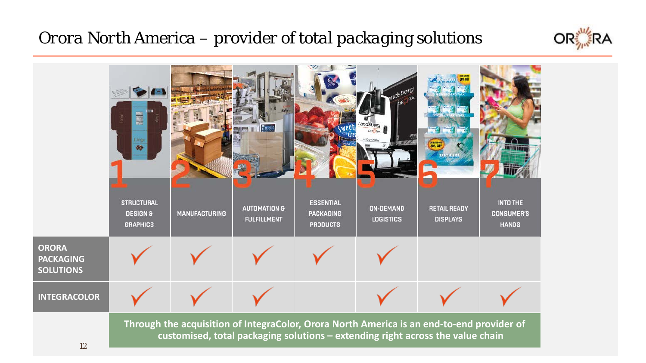## *Orora North America – provider of total packaging solutions*



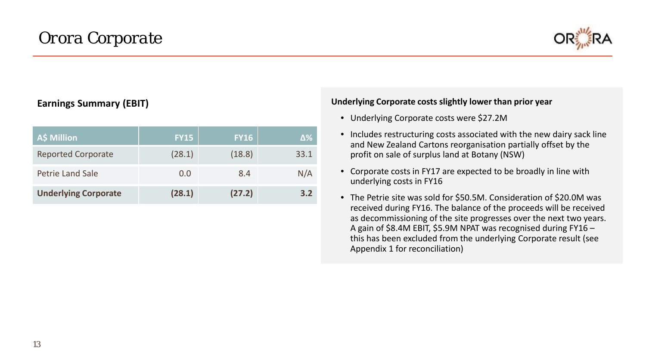

### **Earnings Summary (EBIT)**

| A\$ Million                 | <b>FY15</b> | <b>FY16</b> | Δ%   |
|-----------------------------|-------------|-------------|------|
| <b>Reported Corporate</b>   | (28.1)      | (18.8)      | 33.1 |
| <b>Petrie Land Sale</b>     | 0.0         | 8.4         | N/A  |
| <b>Underlying Corporate</b> | (28.1)      | (27.2)      | 3.2  |

### **Underlying Corporate costs slightly lower than prior year**

- Underlying Corporate costs were \$27.2M
- Includes restructuring costs associated with the new dairy sack line and New Zealand Cartons reorganisation partially offset by the profit on sale of surplus land at Botany (NSW)
- Corporate costs in FY17 are expected to be broadly in line with underlying costs in FY16
- The Petrie site was sold for \$50.5M. Consideration of \$20.0M was received during FY16. The balance of the proceeds will be received as decommissioning of the site progresses over the next two years. A gain of \$8.4M EBIT, \$5.9M NPAT was recognised during FY16 – this has been excluded from the underlying Corporate result (see Appendix 1 for reconciliation)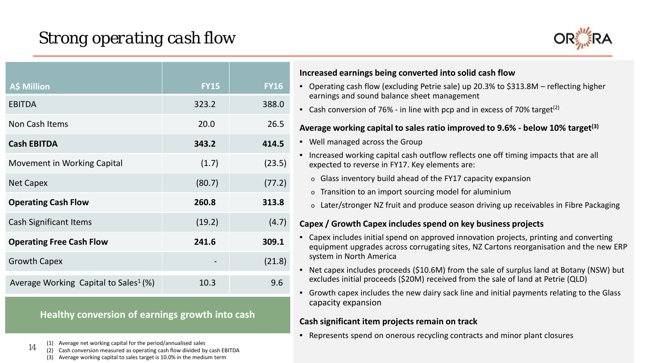## *Strong operating cash flow*



| <b>A\$ Million</b>                                | <b>FY15</b> | <b>FY16</b> |
|---------------------------------------------------|-------------|-------------|
| <b>EBITDA</b>                                     | 323.2       | 388.0       |
| Non Cash Items                                    | 20.0        | 26.5        |
| <b>Cash EBITDA</b>                                | 343.2       | 414.5       |
| Movement in Working Capital                       | (1.7)       | (23.5)      |
| <b>Net Capex</b>                                  | (80.7)      | (77.2)      |
| <b>Operating Cash Flow</b>                        | 260.8       | 313.8       |
| <b>Cash Significant Items</b>                     | (19.2)      | (4.7)       |
| <b>Operating Free Cash Flow</b>                   | 241.6       | 309.1       |
| <b>Growth Capex</b>                               |             | (21.8)      |
| Average Working Capital to Sales <sup>1</sup> (%) | 10.3        | 9.6         |

### **Healthy conversion of earnings growth into cash**

(1) Average net working capital for the period/annualised sales

14

(1) Average net working capital for the period/annualised sales<br>(2) Cash conversion measured as operating cash flow divided by cash EBITDA (3) Average working capital to sales target is 10.0% in the medium term

### **Increased earnings being converted into solid cash flow**

- Operating cash flow (excluding Petrie sale) up 20.3% to \$313.8M reflecting higher earnings and sound balance sheet management
- Cash conversion of 76% in line with pcp and in excess of 70% target<sup>(2)</sup>

### **Average working capital to sales ratio improved to 9.6% - below 10% target(3)**

- Well managed across the Group
- Increased working capital cash outflow reflects one off timing impacts that are all expected to reverse in FY17. Key elements are:
	- o Glass inventory build ahead of the FY17 capacity expansion
	- o Transition to an import sourcing model for aluminium
	- o Later/stronger NZ fruit and produce season driving up receivables in Fibre Packaging

### **Capex / Growth Capex includes spend on key business projects**

- Capex includes initial spend on approved innovation projects, printing and converting equipment upgrades across corrugating sites, NZ Cartons reorganisation and the new ERP system in North America
- Net capex includes proceeds (\$10.6M) from the sale of surplus land at Botany (NSW) but excludes initial proceeds (\$20M) received from the sale of land at Petrie (QLD)
- Growth capex includes the new dairy sack line and initial payments relating to the Glass capacity expansion

### **Cash significant item projects remain on track**

• Represents spend on onerous recycling contracts and minor plant closures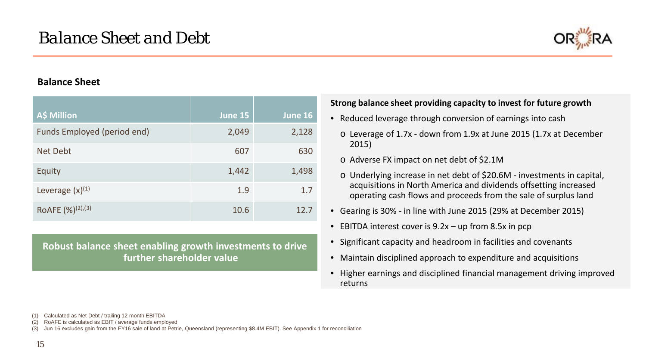

### **Balance Sheet**

| A\$ Million                   | June 15 | June 16 |
|-------------------------------|---------|---------|
| Funds Employed (period end)   | 2,049   | 2,128   |
| Net Debt                      | 607     | 630     |
| Equity                        | 1,442   | 1,498   |
| Leverage $(x)^{(1)}$          | 1.9     | 1.7     |
| ROAFE (%) <sup>(2)</sup> ,(3) | 10.6    | 12.7    |

**Robust balance sheet enabling growth investments to drive further shareholder value**

### **Strong balance sheet providing capacity to invest for future growth**

- Reduced leverage through conversion of earnings into cash
	- o Leverage of 1.7x down from 1.9x at June 2015 (1.7x at December 2015)
	- o Adverse FX impact on net debt of \$2.1M
	- o Underlying increase in net debt of \$20.6M investments in capital, acquisitions in North America and dividends offsetting increased operating cash flows and proceeds from the sale of surplus land
- Gearing is 30% in line with June 2015 (29% at December 2015)
- EBITDA interest cover is  $9.2x up$  from 8.5x in pcp
- Significant capacity and headroom in facilities and covenants
- Maintain disciplined approach to expenditure and acquisitions
- Higher earnings and disciplined financial management driving improved returns

(1) Calculated as Net Debt / trailing 12 month EBITDA

(2) RoAFE is calculated as EBIT / average funds employed

(3) Jun 16 excludes gain from the FY16 sale of land at Petrie, Queensland (representing \$8.4M EBIT). See Appendix 1 for reconciliation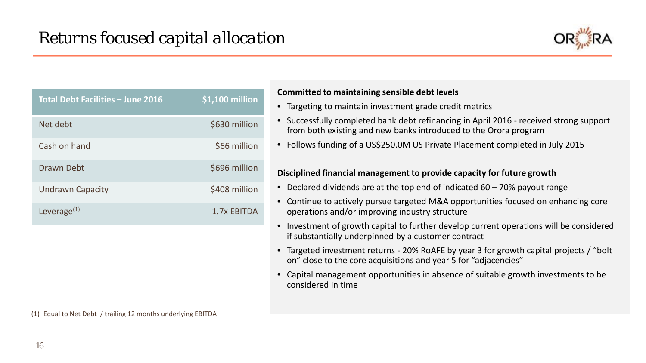

| <b>Total Debt Facilities - June 2016</b> | $$1,100$ million |
|------------------------------------------|------------------|
| Net debt                                 | \$630 million    |
| Cash on hand                             | \$66 million     |
| Drawn Debt                               | \$696 million    |
| <b>Undrawn Capacity</b>                  | \$408 million    |
| Leverage $(1)$                           | 1.7x EBITDA      |

### **Committed to maintaining sensible debt levels**

- Targeting to maintain investment grade credit metrics
- Successfully completed bank debt refinancing in April 2016 received strong support from both existing and new banks introduced to the Orora program
- Follows funding of a US\$250.0M US Private Placement completed in July 2015

### **Disciplined financial management to provide capacity for future growth**

- Declared dividends are at the top end of indicated 60 70% payout range
- Continue to actively pursue targeted M&A opportunities focused on enhancing core operations and/or improving industry structure
- Investment of growth capital to further develop current operations will be considered if substantially underpinned by a customer contract
- Targeted investment returns 20% RoAFE by year 3 for growth capital projects / "bolt on" close to the core acquisitions and year 5 for "adjacencies"
- Capital management opportunities in absence of suitable growth investments to be considered in time

(1) Equal to Net Debt / trailing 12 months underlying EBITDA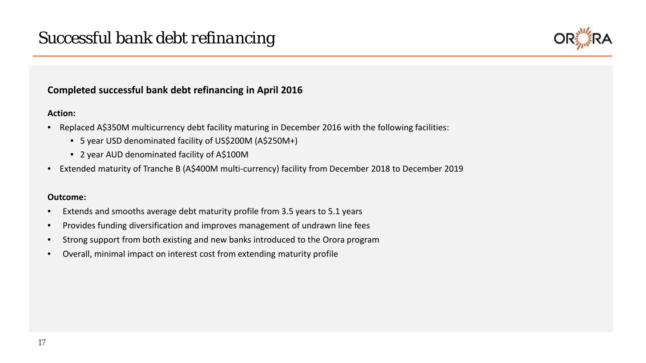

### **Completed successful bank debt refinancing in April 2016**

### **Action:**

- Replaced A\$350M multicurrency debt facility maturing in December 2016 with the following facilities:
	- 5 year USD denominated facility of US\$200M (A\$250M+)
	- 2 year AUD denominated facility of A\$100M
- Extended maturity of Tranche B (A\$400M multi-currency) facility from December 2018 to December 2019

### **Outcome:**

- Extends and smooths average debt maturity profile from 3.5 years to 5.1 years
- Provides funding diversification and improves management of undrawn line fees
- Strong support from both existing and new banks introduced to the Orora program
- Overall, minimal impact on interest cost from extending maturity profile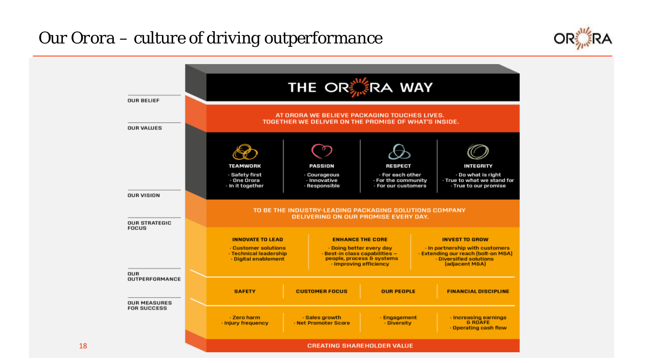## *Our Orora – culture of driving outperformance*



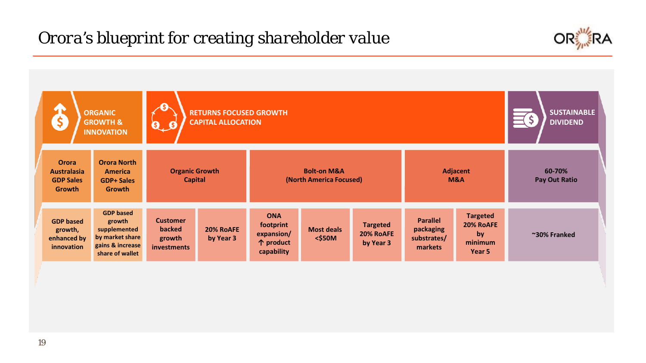## *Orora's blueprint for creating shareholder value*



| \$                                                                      | <b>ORGANIC</b><br><b>GROWTH &amp;</b><br><b>INNOVATION</b>                                           | <b>AS</b><br>$\mathbf{0}$ , $\mathbf{0}$           | <b>RETURNS FOCUSED GROWTH</b><br><b>CAPITAL ALLOCATION</b>                                                             |                                                                  |                                |                                           |                                                        |                                                         | <b>SUSTAINABLE</b><br><b>DIVIDEND</b> |  |
|-------------------------------------------------------------------------|------------------------------------------------------------------------------------------------------|----------------------------------------------------|------------------------------------------------------------------------------------------------------------------------|------------------------------------------------------------------|--------------------------------|-------------------------------------------|--------------------------------------------------------|---------------------------------------------------------|---------------------------------------|--|
| <b>Orora</b><br><b>Australasia</b><br><b>GDP Sales</b><br><b>Growth</b> | <b>Orora North</b><br><b>America</b><br><b>GDP+ Sales</b><br><b>Growth</b>                           |                                                    | <b>Organic Growth</b><br><b>Bolt-on M&amp;A</b><br><b>Adjacent</b><br><b>Capital</b><br>(North America Focused)<br>M&A |                                                                  |                                |                                           |                                                        | 60-70%<br><b>Pay Out Ratio</b>                          |                                       |  |
| <b>GDP based</b><br>growth,<br>enhanced by<br>innovation                | <b>GDP</b> based<br>growth<br>supplemented<br>by market share<br>gains & increase<br>share of wallet | <b>Customer</b><br>backed<br>growth<br>investments | 20% RoAFE<br>by Year 3                                                                                                 | <b>ONA</b><br>footprint<br>expansion/<br>个 product<br>capability | <b>Most deals</b><br>$<$ \$50M | <b>Targeted</b><br>20% RoAFE<br>by Year 3 | <b>Parallel</b><br>packaging<br>substrates/<br>markets | <b>Targeted</b><br>20% RoAFE<br>by<br>minimum<br>Year 5 | ~30% Franked                          |  |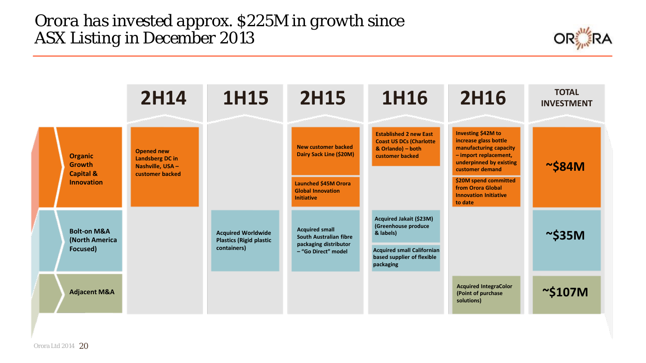*Orora has invested approx. \$225M in growth since ASX Listing in December 2013*

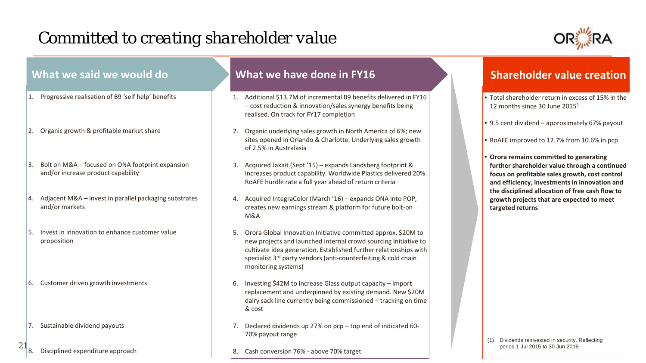# *Committed to creating shareholder value*



| What we said we would do                                                                     | What we have done in FY16                                                                                                                                                                                                                                                                            | <b>Shareholder value creation</b>                                                                                                                                                           |
|----------------------------------------------------------------------------------------------|------------------------------------------------------------------------------------------------------------------------------------------------------------------------------------------------------------------------------------------------------------------------------------------------------|---------------------------------------------------------------------------------------------------------------------------------------------------------------------------------------------|
| Progressive realisation of B9 'self help' benefits                                           | Additional \$13.7M of incremental B9 benefits delivered in FY16<br>- cost reduction & innovation/sales synergy benefits being<br>realised. On track for FY17 completion                                                                                                                              | • Total shareholder return in excess of 15% in the<br>12 months since 30 June $20151$                                                                                                       |
| Organic growth & profitable market share                                                     | Organic underlying sales growth in North America of 6%; new<br>sites opened in Orlando & Charlotte. Underlying sales growth<br>of 2.5% in Australasia                                                                                                                                                | • 9.5 cent dividend - approximately 67% payout<br>• RoAFE improved to 12.7% from 10.6% in pcp                                                                                               |
| Bolt on M&A - focused on ONA footprint expansion<br>3.<br>and/or increase product capability | Acquired Jakait (Sept '15) - expands Landsberg footprint &<br>increases product capability. Worldwide Plastics delivered 20%<br>RoAFE hurdle rate a full year ahead of return criteria                                                                                                               | • Orora remains committed to generating<br>further shareholder value through a continued<br>focus on profitable sales growth, cost control<br>and efficiency, investments in innovation and |
| Adjacent M&A - invest in parallel packaging substrates<br>and/or markets                     | Acquired IntegraColor (March '16) - expands ONA into POP,<br>creates new earnings stream & platform for future bolt-on<br>M&A                                                                                                                                                                        | the disciplined allocation of free cash flow to<br>growth projects that are expected to meet<br>targeted returns                                                                            |
| Invest in innovation to enhance customer value<br>proposition                                | Orora Global Innovation Initiative committed approx. \$20M to<br>5.<br>new projects and launched internal crowd sourcing initiative to<br>cultivate idea generation. Established further relationships with<br>specialist 3rd party vendors (anti-counterfeiting & cold chain<br>monitoring systems) |                                                                                                                                                                                             |
| Customer driven growth investments<br>6.                                                     | Investing \$42M to increase Glass output capacity - import<br>replacement and underpinned by existing demand. New \$20M<br>dairy sack line currently being commissioned - tracking on time<br>& cost                                                                                                 |                                                                                                                                                                                             |
| 7. Sustainable dividend payouts                                                              | Declared dividends up 27% on pcp - top end of indicated 60-<br>70% payout range                                                                                                                                                                                                                      | Dividends reinvested in security. Reflecting                                                                                                                                                |
| Disciplined expenditure approach                                                             | 8. Cash conversion 76% - above 70% target                                                                                                                                                                                                                                                            | period 1 Jul 2015 to 30 Jun 2016                                                                                                                                                            |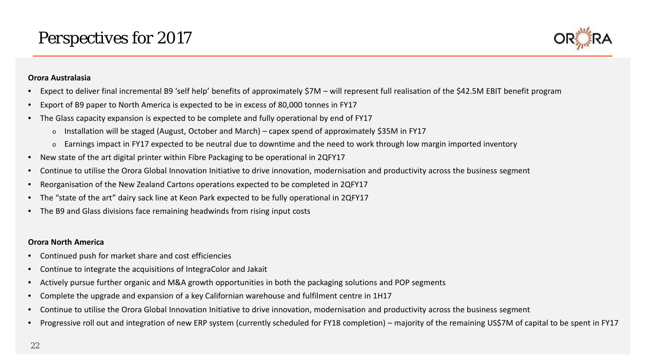

#### **Orora Australasia**

- Expect to deliver final incremental B9 'self help' benefits of approximately \$7M will represent full realisation of the \$42.5M EBIT benefit program
- Export of B9 paper to North America is expected to be in excess of 80,000 tonnes in FY17
- The Glass capacity expansion is expected to be complete and fully operational by end of FY17
	- o Installation will be staged (August, October and March) capex spend of approximately \$35M in FY17
	- $\circ$  Earnings impact in FY17 expected to be neutral due to downtime and the need to work through low margin imported inventory
- New state of the art digital printer within Fibre Packaging to be operational in 2QFY17
- Continue to utilise the Orora Global Innovation Initiative to drive innovation, modernisation and productivity across the business segment
- Reorganisation of the New Zealand Cartons operations expected to be completed in 2QFY17
- The "state of the art" dairy sack line at Keon Park expected to be fully operational in 2QFY17
- The B9 and Glass divisions face remaining headwinds from rising input costs

#### **Orora North America**

- Continued push for market share and cost efficiencies
- Continue to integrate the acquisitions of IntegraColor and Jakait
- Actively pursue further organic and M&A growth opportunities in both the packaging solutions and POP segments
- Complete the upgrade and expansion of a key Californian warehouse and fulfilment centre in 1H17
- Continue to utilise the Orora Global Innovation Initiative to drive innovation, modernisation and productivity across the business segment
- Progressive roll out and integration of new ERP system (currently scheduled for FY18 completion) majority of the remaining US\$7M of capital to be spent in FY17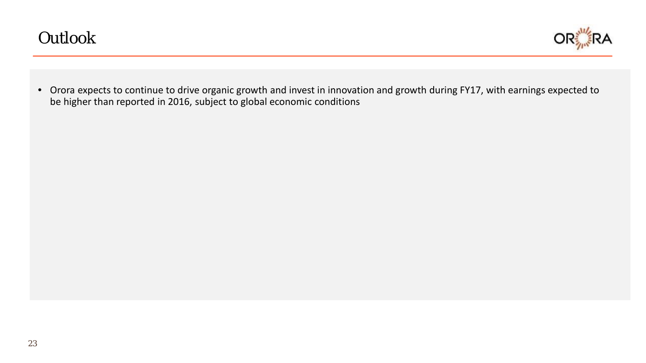

• Orora expects to continue to drive organic growth and invest in innovation and growth during FY17, with earnings expected to be higher than reported in 2016, subject to global economic conditions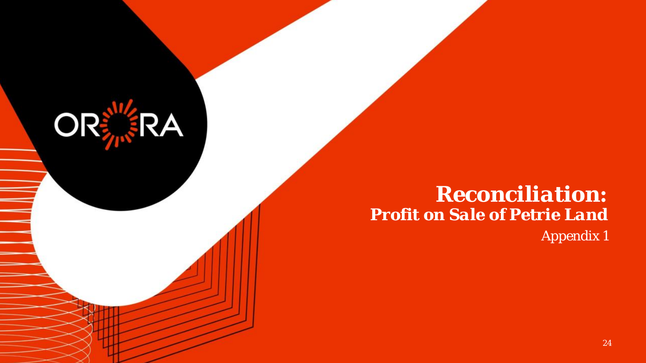# *Reconciliation: Profit on Sale of Petrie Land Appendix 1*

**ORERA**